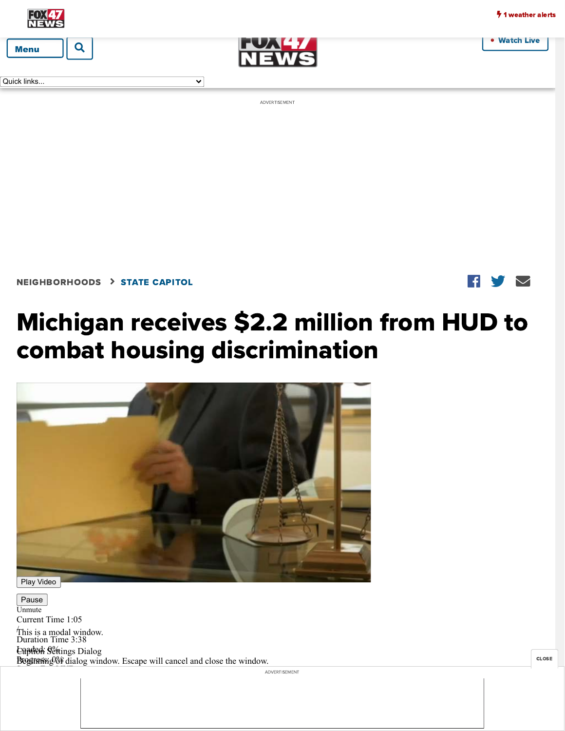• [Watch Live](https://www.fox47news.com/live)



Quick links...



ADVERTISEMENT

 $\overline{\mathbf{v}}$ 

[NEIGHBORHOODS](https://www.fox47news.com/neighborhoods) [STATE CAPITOL](https://www.fox47news.com/neighborhoods/state-capitol)

## $\blacksquare$

## Michigan receives \$2.2 million from HUD to combat housing discrimination



Pause

 $\frac{3}{2}$ R i i 1333<br>R i 2 333 a 334 a 335 a 335 a 335 a 335 a 335 a 335 a 335 a 335 a 335 a 335 a 335 a 335 a 335 a 335

By: [Margaret Cahill](https://www.fox47news.com/margaret-cahill)

Unmute Current Time 1:05 / Duration Time 3:38 This is a modal window. Loaded: 0% Caption Settings Dialog Broginning 8% dialog window. Escape will cancel and close the window.

Michigan receives \$2.[2 million from HUD to combat housing discrimination](https://googleads.g.doubleclick.net/pcs/click?xai=AKAOjsvGz_nN4TWMfASTUzl7XzasPhnQyBoM6tyzvJi8xIiZ1lLsykJBwcHn6sX0OCqYu9zoD6xi_EH6efGsu4sBne9dN6sgcPdafRUg24lkGBZYydzxDZO5HSSwe9m246RY-bm8JU9-Bfd9mW8zTuk0xdYLJvU1_WAHuXd3LWdbNtHwOE1vvBKx9qeuHgDSOk43Nu642-yegj4zPFWKec-6zklQX7uyHH5sqsMAZV8ToCQv10zEvPi_QIzX6cqJpKrhsPqZX9vhGQl514ywnp402M4IpngdXcz0jyhC4kZyd4YIJQUUDcnPTlMLBbXmL02k&sig=Cg0ArKJSzCaxz6z7YjyC&fbs_aeid=[gw_fbsaeid]&adurl=https://www.michigan.gov/corrections/%3Futm_source%3Dscripps_wsym%26utm_medium%3Dstation_banners%26utm_campaign%3Dcollege_basketball_2022)

ADVERTISEMENT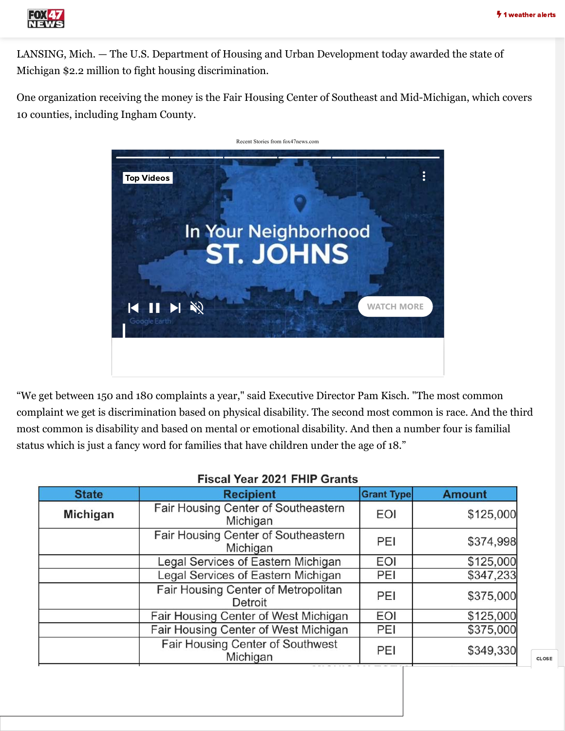

LANSING, Mich. — The U.S. Department of Housing and Urban Development today awarded the state of Michigan \$2.2 million to fight housing discrimination.

One organization receiving the money is the Fair Housing Center of Southeast and Mid-Michigan, which covers 10 counties, including Ingham County.



"We get between 150 and 180 complaints a year," said Executive Director Pam Kisch. "The most common complaint we get is discrimination based on physical disability. The second most common is race. And the third most common is disability and based on mental or emotional disability. And then a number four is familial status which is just a fancy word for families that have children under the age of 18."

| 1.19941.1941.494.1.11111.9141119 |                                                 |                   |               |
|----------------------------------|-------------------------------------------------|-------------------|---------------|
| <b>State</b>                     | <b>Recipient</b>                                | <b>Grant Type</b> | <b>Amount</b> |
| Michigan                         | Fair Housing Center of Southeastern<br>Michigan | <b>EOI</b>        | \$125,000     |
|                                  | Fair Housing Center of Southeastern<br>Michigan | PEI               | \$374,998     |
|                                  | Legal Services of Eastern Michigan              | <b>EOI</b>        | \$125,000     |
|                                  | Legal Services of Eastern Michigan              | PEI               | \$347,233     |
|                                  | Fair Housing Center of Metropolitan<br>Detroit  | PEI               | \$375,000     |
|                                  | Fair Housing Center of West Michigan            | EOI               | \$125,000     |
|                                  | Fair Housing Center of West Michigan            | PEI               | \$375,000     |
|                                  | Fair Housing Center of Southwest<br>Michigan    | PEI               | \$349,330     |

## Fiscal Year 2021 FHIP Grants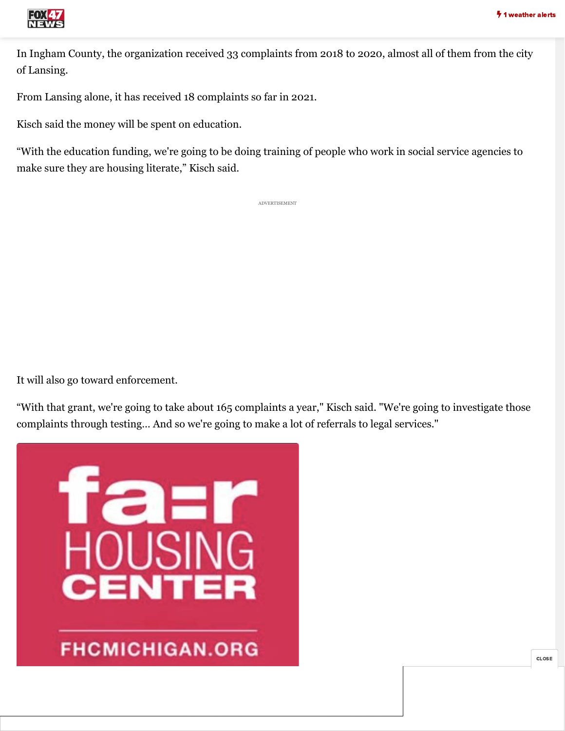

In Ingham County, the organization received 33 complaints from 2018 to 2020, almost all of them from the city of Lansing.

From Lansing alone, it has received 18 complaints so far in 2021.

Kisch said the money will be spent on education.

"With the education funding, we're going to be doing training of people who work in social service agencies to make sure they are housing literate," Kisch said.

ADVERTISEMENT

It will also go toward enforcement.

"With that grant, we're going to take about 165 complaints a year," Kisch said. "We're going to investigate those complaints through testing… And so we're going to make a lot of referrals to legal services."